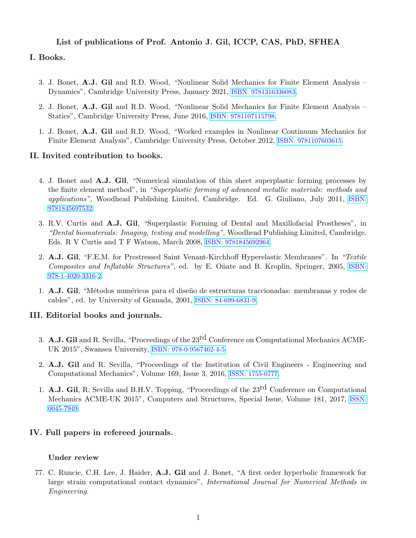## List of publications of Prof. Antonio J. Gil, ICCP, CAS, PhD, SFHEA

# I. Books.

- 3. J. Bonet, A.J. Gil and R.D. Wood, "Nonlinear Solid Mechanics for Finite Element Analysis Dynamics", Cambridge University Press, January 2021, [ISBN: 9781316336083](https://www.cambridge.org/core/books/nonlinear-solid-mechanics-for-finite-element-analysis-dynamics/1424900AC005178702008378835A7A18).
- 2. J. Bonet, A.J. Gil and R.D. Wood, "Nonlinear Solid Mechanics for Finite Element Analysis Statics", Cambridge University Press, June 2016, [ISBN: 9781107115798](http://www.cambridge.org/gb/academic/subjects/mathematics/mathematical-modelling-and-methods/nonlinear-solid-mechanics-finite-element-analysis-statics?format=HB&isbn=9781107115798).
- 1. J. Bonet, A.J. Gil and R.D. Wood, "Worked examples in Nonlinear Continuum Mechanics for Finite Element Analysis", Cambridge University Press, October 2012, [ISBN: 9781107603615](http://www.cambridge.org/gb/academic/subjects/mathematics/fluid-dynamics-and-solid-mechanics/worked-examples-nonlinear-continuum-mechanics-finite-element-analysis?format=PB&isbn=9781107603615).

#### II. Invited contribution to books.

- 4. J. Bonet and A.J. Gil, "Numerical simulation of thin sheet superplastic forming processes by the finite element method", in "Superplastic forming of advanced metallic materials: methods and applications", Woodhead Publishing Limited, Cambridge. Ed. G. Giuliano, July 2011, [ISBN:](http://www.woodheadpublishing.com/en/book.aspx?bookID=1973&printer=yes) [9781845697532](http://www.woodheadpublishing.com/en/book.aspx?bookID=1973&printer=yes).
- 3. R.V. Curtis and A.J. Gil, "Superplastic Forming of Dental and Maxillofacial Prostheses", in "Dental biomaterials: Imaging, testing and modelling", Woodhead Publishing Limited, Cambridge. Eds. R V Curtis and T F Watson, March 2008, [ISBN: 9781845692964](http://www.woodheadpublishing.com/en/book.aspx?bookID=1347).
- 2. A.J. Gil, "F.E.M. for Prestressed Saint Venant-Kirchhoff Hyperelastic Membranes". In "Textile Composites and Inflatable Structures", ed. by E. Oñate and B. Kroplin, Springer, 2005, [ISBN:](http://www.springer.com/materials/mechanics/book/978-1-4020-3316-2) [978-1-4020-3316-2](http://www.springer.com/materials/mechanics/book/978-1-4020-3316-2).
- 1. A.J. Gil, "Métodos numéricos para el diseño de estructuras traccionadas: membranas y redes de cables", ed. by University of Granada, 2001, [ISBN: 84-699-6831-9](http://dialnet.unirioja.es/servlet/libro?codigo=29005).

### III. Editorial books and journals.

- 3. **A.J. Gil** and R. Sevilla, "Proceedings of the  $23<sup>rd</sup>$  Conference on Computational Mechanics ACME-UK 2015", Swansea University, [ISBN: 978-0-9567462-4-5](http://www.swansea.ac.uk/engineering/research/acme2015/programmeproceedings/proceedings/).
- 2. A.J. Gil and R. Sevilla, "Proceedings of the Institution of Civil Engineers Engineering and Computational Mechanics", Volume 169, Issue 3, 2016, [ISSN: 1755-0777](http://www.icevirtuallibrary.com/toc/jencm/169/3).
- 1. **A.J. Gil**, R. Sevilla and B.H.V. Topping, "Proceedings of the  $23<sup>rd</sup>$  Conference on Computational Mechanics ACME-UK 2015", Computers and Structures, Special Issue, Volume 181, 2017, [ISSN:](https://www.sciencedirect.com/journal/computers-and-structures/vol/181) [0045-7949](https://www.sciencedirect.com/journal/computers-and-structures/vol/181).

### IV. Full papers in refereed journals.

### Under review

77. C. Runcie, C.H. Lee, J. Haider, A.J. Gil and J. Bonet, "A first order hyperbolic framework for large strain computational contact dynamics", International Journal for Numerical Methods in Engineering.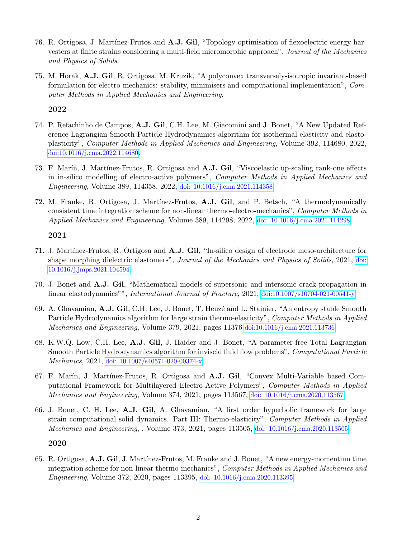- 76. R. Ortigosa, J. Martínez-Frutos and A.J. Gil, "Topology optimisation of flexoelectric energy harvesters at finite strains considering a multi-field micromorphic approach", Journal of the Mechanics and Physics of Solids.
- 75. M. Horak, A.J. Gil, R. Ortigosa, M. Kruzik, "A polyconvex transversely-isotropic invariant-based formulation for electro-mechanics: stability, minimisers and computational implementation", Computer Methods in Applied Mechanics and Engineering.

- 74. P. Refachinho de Campos, A.J. Gil, C.H. Lee, M. Giacomini and J. Bonet, "A New Updated Reference Lagrangian Smooth Particle Hydrodynamics algorithm for isothermal elasticity and elastoplasticity", Computer Methods in Applied Mechanics and Engineering, Volume 392, 114680, 2022, [doi:10.1016/j.cma.2022.114680](https://www.sciencedirect.com/science/article/pii/S0045782522000664?via%3Dihub).
- 73. F. Marín, J. Martínez-Frutos, R. Ortigosa and A.J. Gil, "Viscoelastic up-scaling rank-one effects in in-silico modelling of electro-active polymers", Computer Methods in Applied Mechanics and Engineering, Volume 389, 114358, 2022, [doi: 10.1016/j.cma.2021.114358](https://www.sciencedirect.com/science/article/pii/S0045782521006319?via%3Dihub).
- 72. M. Franke, R. Ortigosa, J. Martínez-Frutos, A.J. Gil, and P. Betsch, "A thermodynamically consistent time integration scheme for non-linear thermo-electro-mechanics", Computer Methods in Applied Mechanics and Engineering, Volume 389, 114298, 2022, [doi: 10.1016/j.cma.2021.114298](https://www.sciencedirect.com/science/article/pii/S0045782521005922?via%3Dihub).

### 2021

- 71. J. Mart´ınez-Frutos, R. Ortigosa and A.J. Gil, "In-silico design of electrode meso-architecture for shape morphing dielectric elastomers", Journal of the Mechanics and Physics of Solids, 2021, [doi:](https://www.sciencedirect.com/science/article/pii/S0022509621002386) [10.1016/j.jmps.2021.104594](https://www.sciencedirect.com/science/article/pii/S0022509621002386).
- 70. J. Bonet and A.J. Gil, "Mathematical models of supersonic and intersonic crack propagation in linear elastodynamics"", International Journal of Fracture, 2021, [doi:10.1007/s10704-021-00541-y](https://link.springer.com/content/pdf/10.1007/s10704-021-00541-y.pdf).
- 69. A. Ghavamian, A.J. Gil, C.H. Lee, J. Bonet, T. Heuzé and L. Stainier, "An entropy stable Smooth Particle Hydrodynamics algorithm for large strain thermo-elasticity", Computer Methods in Applied Mechanics and Engineering, Volume 379, 2021, pages 11376 [doi:10.1016/j.cma.2021.113736](https://www.sciencedirect.com/science/article/pii/S0045782521000724?via%3Dihub).
- 68. K.W.Q. Low, C.H. Lee, A.J. Gil, J. Haider and J. Bonet, "A parameter-free Total Lagrangian Smooth Particle Hydrodynamics algorithm for inviscid fluid flow problems", Computational Particle Mechanics, 2021, [doi: 10.1007/s40571-020-00374-x](https://link.springer.com/article/10.1007/s40571-020-00374-x)
- 67. F. Marín, J. Martínez-Frutos, R. Ortigosa and A.J. Gil, "Convex Multi-Variable based Computational Framework for Multilayered Electro-Active Polymers", Computer Methods in Applied Mechanics and Engineering, Volume 374, 2021, pages 113567, [doi: 10.1016/j.cma.2020.113567](https://www.sciencedirect.com/science/article/pii/S0045782520307520?via%3Dihub).
- 66. J. Bonet, C. H. Lee, A.J. Gil, A. Ghavamian, "A first order hyperbolic framework for large strain computational solid dynamics. Part III: Thermo-elasticity", Computer Methods in Applied Mechanics and Engineering, , Volume 373, 2021, pages 113505, [doi: 10.1016/j.cma.2020.113505](https://www.sciencedirect.com/science/article/pii/S0045782520306903?via=ihub).

### 2020

65. R. Ortigosa, A.J. Gil, J. Mart´ınez-Frutos, M. Franke and J. Bonet, "A new energy-momentum time integration scheme for non-linear thermo-mechanics", Computer Methods in Applied Mechanics and Engineering, Volume 372, 2020, pages 113395, [doi: 10.1016/j.cma.2020.113395](https://www.sciencedirect.com/science/article/pii/S0045782520305806).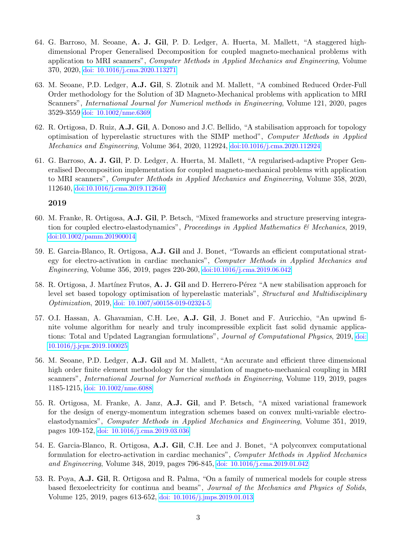- 64. G. Barroso, M. Seoane, A. J. Gil, P. D. Ledger, A. Huerta, M. Mallett, "A staggered highdimensional Proper Generalised Decomposition for coupled magneto-mechanical problems with application to MRI scanners", Computer Methods in Applied Mechanics and Engineering, Volume 370, 2020, [doi: 10.1016/j.cma.2020.113271](https://www.sciencedirect.com/science/article/pii/S0045782520304564?via%3Dihub)
- 63. M. Seoane, P.D. Ledger, A.J. Gil, S. Zlotnik and M. Mallett, "A combined Reduced Order-Full Order methodology for the Solution of 3D Magneto-Mechanical problems with application to MRI Scanners", International Journal for Numerical methods in Engineering, Volume 121, 2020, pages 3529-3559 [doi: 10.1002/nme.6369](https://onlinelibrary.wiley.com)
- 62. R. Ortigosa, D. Ruiz, A.J. Gil, A. Donoso and J.C. Bellido, "A stabilisation approach for topology optimisation of hyperelastic structures with the SIMP method", Computer Methods in Applied Mechanics and Engineering, Volume 364, 2020, 112924, [doi:10.1016/j.cma.2020.112924](https://www.sciencedirect.com/science/article/pii/S0045782520301079?dgcid=coauthor)
- 61. G. Barroso, A. J. Gil, P. D. Ledger, A. Huerta, M. Mallett, "A regularised-adaptive Proper Generalised Decomposition implementation for coupled magneto-mechanical problems with application to MRI scanners", Computer Methods in Applied Mechanics and Engineering, Volume 358, 2020, 112640, [doi:10.1016/j.cma.2019.112640](https://www.sciencedirect.com/science/article/pii/S0045782519305249?dgcid=author)

- 60. M. Franke, R. Ortigosa, A.J. Gil, P. Betsch, "Mixed frameworks and structure preserving integration for coupled electro-elastodynamics", Proceedings in Applied Mathematics  $\mathcal{B}'$  Mechanics, 2019, [doi:10.1002/pamm.201900014](https://www.sciencedirect.com/)
- 59. E. Garcia-Blanco, R. Ortigosa, A.J. Gil and J. Bonet, "Towards an efficient computational strategy for electro-activation in cardiac mechanics", Computer Methods in Applied Mechanics and Engineering, Volume 356, 2019, pages 220-260, [doi:10.1016/j.cma.2019.06.042](https://www.sciencedirect.com/science/article/pii/S0045782519303871?via%3Dihub)
- 58. R. Ortigosa, J. Martínez Frutos, A. J. Gil and D. Herrero-Pérez "A new stabilisation approach for level set based topology optimisation of hyperelastic materials", Structural and Multidisciplinary Optimization, 2019, [doi: 10.1007/s00158-019-02324-5](https://link.springer.com/article/10.1007%2Fs00158-019-02324-5)
- 57. O.I. Hassan, A. Ghavamian, C.H. Lee, A.J. Gil, J. Bonet and F. Auricchio, "An upwind finite volume algorithm for nearly and truly incompressible explicit fast solid dynamic applications: Total and Updated Lagrangian formulations", Journal of Computational Physics, 2019, [doi:](https://www.sciencedirect.com/science/article/pii/S2590055219300411?via%3Dihub) [10.1016/j.jcpx.2019.100025](https://www.sciencedirect.com/science/article/pii/S2590055219300411?via%3Dihub)
- 56. M. Seoane, P.D. Ledger, A.J. Gil and M. Mallett, "An accurate and efficient three dimensional high order finite element methodology for the simulation of magneto-mechanical coupling in MRI scanners", International Journal for Numerical methods in Engineering, Volume 119, 2019, pages 1185-1215, [doi: 10.1002/nme.6088](https://onlinelibrary.wiley.com/doi/full/10.1002/nme.6088)
- 55. R. Ortigosa, M. Franke, A. Janz, A.J. Gil, and P. Betsch, "A mixed variational framework for the design of energy-momentum integration schemes based on convex multi-variable electroelastodynamics", Computer Methods in Applied Mechanics and Engineering, Volume 351, 2019, pages 109-152, [doi: 10.1016/j.cma.2019.03.036](https://www.sciencedirect.com/science/article/pii/S0045782519301665?via%3Dihub)
- 54. E. Garcia-Blanco, R. Ortigosa, A.J. Gil, C.H. Lee and J. Bonet, "A polyconvex computational formulation for electro-activation in cardiac mechanics", Computer Methods in Applied Mechanics and Engineering, Volume 348, 2019, pages 796-845, [doi: 10.1016/j.cma.2019.01.042](https://www.sciencedirect.com/science/article/pii/S0045782519300672?via%3Dihub)
- 53. R. Poya, A.J. Gil, R. Ortigosa and R. Palma, "On a family of numerical models for couple stress based flexoelectricity for continua and beams", Journal of the Mechanics and Physics of Solids, Volume 125, 2019, pages 613-652, [doi: 10.1016/j.jmps.2019.01.013](https://www.sciencedirect.com/science/article/pii/S0022509618309864?via%3Dihub)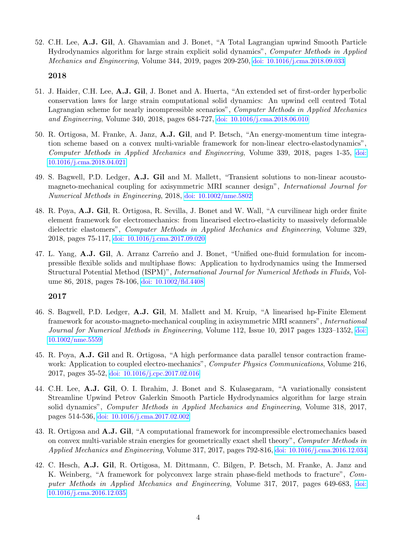52. C.H. Lee, A.J. Gil, A. Ghavamian and J. Bonet, "A Total Lagrangian upwind Smooth Particle Hydrodynamics algorithm for large strain explicit solid dynamics", Computer Methods in Applied Mechanics and Engineering, Volume 344, 2019, pages 209-250, [doi: 10.1016/j.cma.2018.09.033](https://www.sciencedirect.com/science/article/pii/S0045782518304857?via%3Dihub)

#### 2018

- 51. J. Haider, C.H. Lee, A.J. Gil, J. Bonet and A. Huerta, "An extended set of first-order hyperbolic conservation laws for large strain computational solid dynamics: An upwind cell centred Total Lagrangian scheme for nearly incompressible scenarios", Computer Methods in Applied Mechanics and Engineering, Volume 340, 2018, pages 684-727, [doi: 10.1016/j.cma.2018.06.010](https://www.sciencedirect.com/science/article/pii/S0045782518303086)
- 50. R. Ortigosa, M. Franke, A. Janz, A.J. Gil, and P. Betsch, "An energy-momentum time integration scheme based on a convex multi-variable framework for non-linear electro-elastodynamics", Computer Methods in Applied Mechanics and Engineering, Volume 339, 2018, pages 1-35, [doi:](https://www.sciencedirect.com/science/article/pii/S0045782518302007) [10.1016/j.cma.2018.04.021](https://www.sciencedirect.com/science/article/pii/S0045782518302007)
- 49. S. Bagwell, P.D. Ledger, A.J. Gil and M. Mallett, "Transient solutions to non-linear acoustomagneto-mechanical coupling for axisymmetric MRI scanner design", International Journal for Numerical Methods in Engineering, 2018, [doi: 10.1002/nme.5802](https://onlinelibrary.wiley.com/doi/abs/10.1002/nme.5802?af=R)
- 48. R. Poya, A.J. Gil, R. Ortigosa, R. Sevilla, J. Bonet and W. Wall, "A curvilinear high order finite element framework for electromechanics: from linearised electro-elasticity to massively deformable dielectric elastomers", Computer Methods in Applied Mechanics and Engineering, Volume 329, 2018, pages 75-117, [doi: 10.1016/j.cma.2017.09.020](http://www.sciencedirect.com/science/article/pii/S0045782517306503)
- 47. L. Yang, A.J. Gil, A. Arranz Carreño and J. Bonet, "Unified one-fluid formulation for incompressible flexible solids and multiphase flows: Application to hydrodynamics using the Immersed Structural Potential Method (ISPM)", International Journal for Numerical Methods in Fluids, Volume 86, 2018, pages 78-106, [doi: 10.1002/fld.4408](http://onlinelibrary.wiley.com/doi/10.1002/fld.4408/abstract)

- 46. S. Bagwell, P.D. Ledger, A.J. Gil, M. Mallett and M. Kruip, "A linearised hp-Finite Element framework for acousto-magneto-mechanical coupling in axisymmetric MRI scanners", International Journal for Numerical Methods in Engineering, Volume 112, Issue 10, 2017 pages 1323–1352, [doi:](http://onlinelibrary.wiley.com/doi/10.1002/nme.5559/full) [10.1002/nme.5559](http://onlinelibrary.wiley.com/doi/10.1002/nme.5559/full)
- 45. R. Poya, A.J. Gil and R. Ortigosa, "A high performance data parallel tensor contraction framework: Application to coupled electro-mechanics", *Computer Physics Communications*, Volume 216, 2017, pages 35-52, [doi: 10.1016/j.cpc.2017.02.016](http://www.sciencedirect.com/science/article/pii/S0010465517300681)
- 44. C.H. Lee, A.J. Gil, O. I. Ibrahim, J. Bonet and S. Kulasegaram, "A variationally consistent Streamline Upwind Petrov Galerkin Smooth Particle Hydrodynamics algorithm for large strain solid dynamics", Computer Methods in Applied Mechanics and Engineering, Volume 318, 2017, pages 514-536, [doi: 10.1016/j.cma.2017.02.002](http://www.sciencedirect.com/science/article/pii/S0045782516315201)
- 43. R. Ortigosa and A.J. Gil, "A computational framework for incompressible electromechanics based on convex multi-variable strain energies for geometrically exact shell theory", Computer Methods in Applied Mechanics and Engineering, Volume 317, 2017, pages 792-816, [doi: 10.1016/j.cma.2016.12.034](http://www.sciencedirect.com/science/article/pii/S004578251631444X)
- 42. C. Hesch, A.J. Gil, R. Ortigosa, M. Dittmann, C. Bilgen, P. Betsch, M. Franke, A. Janz and K. Weinberg, "A framework for polyconvex large strain phase-field methods to fracture", Computer Methods in Applied Mechanics and Engineering, Volume 317, 2017, pages 649-683, [doi:](http://www.sciencedirect.com/science/article/pii/S0045782516309677) [10.1016/j.cma.2016.12.035](http://www.sciencedirect.com/science/article/pii/S0045782516309677)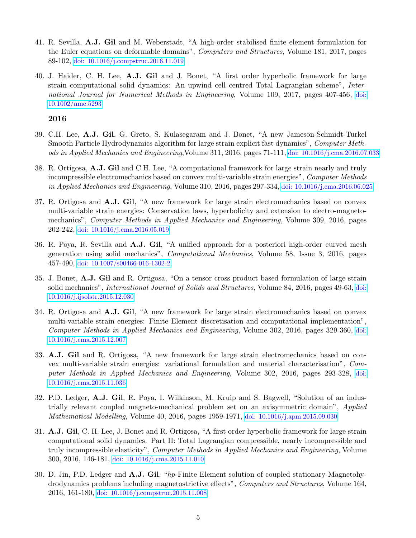- 41. R. Sevilla, A.J. Gil and M. Weberstadt, "A high-order stabilised finite element formulation for the Euler equations on deformable domains", Computers and Structures, Volume 181, 2017, pages 89-102, [doi: 10.1016/j.compstruc.2016.11.019](http://www.sciencedirect.com/science/article/pii/S0045794916313700)
- 40. J. Haider, C. H. Lee, A.J. Gil and J. Bonet, "A first order hyperbolic framework for large strain computational solid dynamics: An upwind cell centred Total Lagrangian scheme", International Journal for Numerical Methods in Engineering, Volume 109, 2017, pages 407-456, [doi:](http://onlinelibrary.wiley.com/doi/10.1002/nme.5293/full) [10.1002/nme.5293](http://onlinelibrary.wiley.com/doi/10.1002/nme.5293/full)

- 39. C.H. Lee, A.J. Gil, G. Greto, S. Kulasegaram and J. Bonet, "A new Jameson-Schmidt-Turkel Smooth Particle Hydrodynamics algorithm for large strain explicit fast dynamics", Computer Methods in Applied Mechanics and Engineering,Volume 311, 2016, pages 71-111, [doi: 10.1016/j.cma.2016.07.033](http://www.sciencedirect.com/science/article/pii/S0045782516304182)
- 38. R. Ortigosa, A.J. Gil and C.H. Lee, "A computational framework for large strain nearly and truly incompressible electromechanics based on convex multi-variable strain energies", Computer Methods in Applied Mechanics and Engineering, Volume 310, 2016, pages 297-334, [doi: 10.1016/j.cma.2016.06.025](http://www.sciencedirect.com/science/article/pii/S0045782516302286)
- 37. R. Ortigosa and A.J. Gil, "A new framework for large strain electromechanics based on convex multi-variable strain energies: Conservation laws, hyperbolicity and extension to electro-magnetomechanics", Computer Methods in Applied Mechanics and Engineering, Volume 309, 2016, pages 202-242, [doi: 10.1016/j.cma.2016.05.019](http://www.sciencedirect.com/science/article/pii/S0045782516303991)
- 36. R. Poya, R. Sevilla and A.J. Gil, "A unified approach for a posteriori high-order curved mesh generation using solid mechanics", Computational Mechanics, Volume 58, Issue 3, 2016, pages 457-490, [doi: 10.1007/s00466-016-1302-2](http://link.springer.com/article/10.1007/s00466-016-1302-2).
- 35. J. Bonet, A.J. Gil and R. Ortigosa, "On a tensor cross product based formulation of large strain solid mechanics", International Journal of Solids and Structures, Volume 84, 2016, pages 49-63, [doi:](http://www.sciencedirect.com/science/article/pii/S0020768315005302) [10.1016/j.ijsolstr.2015.12.030](http://www.sciencedirect.com/science/article/pii/S0020768315005302)
- 34. R. Ortigosa and A.J. Gil, "A new framework for large strain electromechanics based on convex multi-variable strain energies: Finite Element discretisation and computational implementation", Computer Methods in Applied Mechanics and Engineering, Volume 302, 2016, pages 329-360, [doi:](http://www.sciencedirect.com/science/article/pii/S0045782515004090) [10.1016/j.cma.2015.12.007](http://www.sciencedirect.com/science/article/pii/S0045782515004090)
- 33. A.J. Gil and R. Ortigosa, "A new framework for large strain electromechanics based on convex multi-variable strain energies: variational formulation and material characterisation", Computer Methods in Applied Mechanics and Engineering, Volume 302, 2016, pages 293-328, [doi:](http://www.sciencedirect.com/science/article/pii/S0045782515004168) [10.1016/j.cma.2015.11.036](http://www.sciencedirect.com/science/article/pii/S0045782515004168)
- 32. P.D. Ledger, A.J. Gil, R. Poya, I. Wilkinson, M. Kruip and S. Bagwell, "Solution of an industrially relevant coupled magneto-mechanical problem set on an axisymmetric domain", Applied Mathematical Modelling, Volume 40, 2016, pages 1959-1971, [doi: 10.1016/j.apm.2015.09.030](http://www.sciencedirect.com/science/article/pii/S0307904X15005648)
- 31. A.J. Gil, C. H. Lee, J. Bonet and R. Ortigosa, "A first order hyperbolic framework for large strain computational solid dynamics. Part II: Total Lagrangian compressible, nearly incompressible and truly incompressible elasticity", *Computer Methods in Applied Mechanics and Engineering*, Volume 300, 2016, 146-181, [doi: 10.1016/j.cma.2015.11.010](http://www.sciencedirect.com/science/article/pii/S0045782515003631)
- 30. D. Jin, P.D. Ledger and A.J. Gil, "hp-Finite Element solution of coupled stationary Magnetohydrodynamics problems including magnetostrictive effects", Computers and Structures, Volume 164, 2016, 161-180, [doi: 10.1016/j.compstruc.2015.11.008](http://www.sciencedirect.com/science/article/pii/S0045794915003053)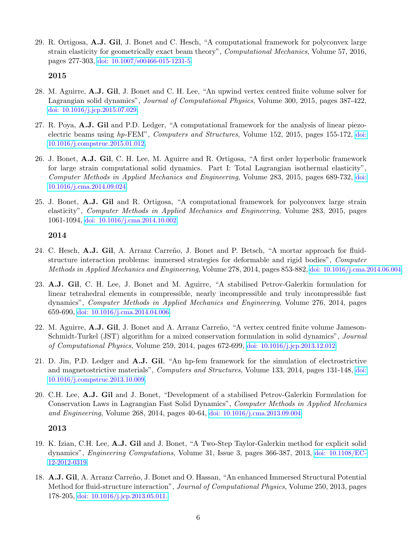29. R. Ortigosa, A.J. Gil, J. Bonet and C. Hesch, "A computational framework for polyconvex large strain elasticity for geometrically exact beam theory", Computational Mechanics, Volume 57, 2016, pages 277-303, [doi: 10.1007/s00466-015-1231-5](http://link.springer.com/article/10.1007%2Fs00466-015-1231-5#page-1).

### 2015

- 28. M. Aguirre, A.J. Gil, J. Bonet and C. H. Lee, "An upwind vertex centred finite volume solver for Lagrangian solid dynamics", Journal of Computational Physics, Volume 300, 2015, pages 387-422, [doi: 10.1016/j.jcp.2015.07.029](http://www.sciencedirect.com/science/article/pii/S002199911500474X).
- 27. R. Poya, A.J. Gil and P.D. Ledger, "A computational framework for the analysis of linear piezoelectric beams using hp-FEM", Computers and Structures, Volume 152, 2015, pages 155-172, [doi:](http://www.sciencedirect.com/science/article/pii/S0045794915000218) [10.1016/j.compstruc.2015.01.012](http://www.sciencedirect.com/science/article/pii/S0045794915000218).
- 26. J. Bonet, A.J. Gil, C. H. Lee, M. Aguirre and R. Ortigosa, "A first order hyperbolic framework for large strain computational solid dynamics. Part I: Total Lagrangian isothermal elasticity", Computer Methods in Applied Mechanics and Engineering, Volume 283, 2015, pages 689-732, [doi:](http://www.sciencedirect.com/science/article/pii/S0045782514003478) [10.1016/j.cma.2014.09.024](http://www.sciencedirect.com/science/article/pii/S0045782514003478).
- 25. J. Bonet, A.J. Gil and R. Ortigosa, "A computational framework for polyconvex large strain elasticity", Computer Methods in Applied Mechanics and Engineering, Volume 283, 2015, pages 1061-1094, [doi: 10.1016/j.cma.2014.10.002](http://www.sciencedirect.com/science/article/pii/S0045782514003636).

### 2014

- 24. C. Hesch, A.J. Gil, A. Arranz Carreño, J. Bonet and P. Betsch, "A mortar approach for fluidstructure interaction problems: immersed strategies for deformable and rigid bodies", Computer Methods in Applied Mechanics and Engineering, Volume 278, 2014, pages 853-882, [doi: 10.1016/j.cma.2014.06.004](http://www.sciencedirect.com/science/article/pii/S0045782514001893).
- 23. A.J. Gil, C. H. Lee, J. Bonet and M. Aguirre, "A stabilised Petrov-Galerkin formulation for linear tetrahedral elements in compressible, nearly incompressible and truly incompressible fast dynamics", Computer Methods in Applied Mechanics and Engineering, Volume 276, 2014, pages 659-690, [doi: 10.1016/j.cma.2014.04.006](http://www.sciencedirect.com/science/article/pii/S0045782514001315).
- 22. M. Aguirre, A.J. Gil, J. Bonet and A. Arranz Carreño, "A vertex centred finite volume Jameson-Schmidt-Turkel (JST) algorithm for a mixed conservation formulation in solid dynamics", Journal of Computational Physics, Volume 259, 2014, pages 672-699, [doi: 10.1016/j.jcp.2013.12.012](http://dx.doi.org/10.1016/j.jcp.2013.12.012).
- 21. D. Jin, P.D. Ledger and A.J. Gil, "An hp-fem framework for the simulation of electrostrictive and magnetostrictive materials", Computers and Structures, Volume 133, 2014, pages 131-148, [doi:](http://dx.doi.org/10.1016/j.compstruc.2013.10.009) [10.1016/j.compstruc.2013.10.009](http://dx.doi.org/10.1016/j.compstruc.2013.10.009).
- 20. C.H. Lee, A.J. Gil and J. Bonet, "Development of a stabilised Petrov-Galerkin Formulation for Conservation Laws in Lagrangian Fast Solid Dynamics", Computer Methods in Applied Mechanics and Engineering, Volume 268, 2014, pages 40-64, [doi: 10.1016/j.cma.2013.09.004](http://www.sciencedirect.com/science/article/pii/S0045782513002296).

- 19. K. Izian, C.H. Lee, A.J. Gil and J. Bonet, "A Two-Step Taylor-Galerkin method for explicit solid dynamics", Engineering Computations, Volume 31, Issue 3, pages 366-387, 2013, [doi: 10.1108/EC-](http://www.emeraldinsight.com/journals.htm?articleid=17110712)[12-2012-0319](http://www.emeraldinsight.com/journals.htm?articleid=17110712).
- 18. A.J. Gil, A. Arranz Carreño, J. Bonet and O. Hassan, "An enhanced Immersed Structural Potential Method for fluid-structure interaction", Journal of Computational Physics, Volume 250, 2013, pages 178-205, [doi: 10.1016/j.jcp.2013.05.011.](http://www.sciencedirect.com/science/article/pii/S0021999113003422)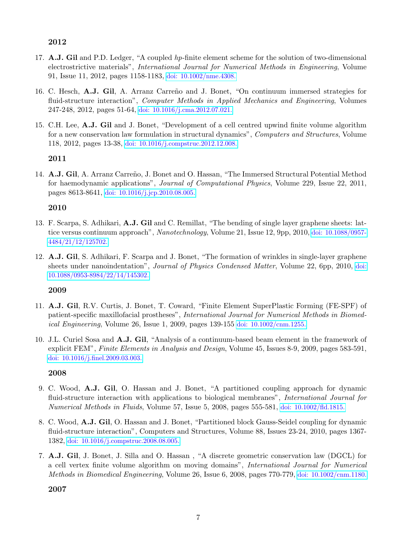- 17. A.J. Gil and P.D. Ledger, "A coupled hp-finite element scheme for the solution of two-dimensional electrostrictive materials", International Journal for Numerical Methods in Engineering, Volume 91, Issue 11, 2012, pages 1158-1183, [doi: 10.1002/nme.4308.](http://onlinelibrary.wiley.com/doi/10.1002/nme.4308/abstract)
- 16. C. Hesch, A.J. Gil, A. Arranz Carreño and J. Bonet, "On continuum immersed strategies for fluid-structure interaction", Computer Methods in Applied Mechanics and Engineering, Volumes 247-248, 2012, pages 51-64, [doi: 10.1016/j.cma.2012.07.021.](http://www.sciencedirect.com/science/article/pii/S0045782512002447)
- 15. C.H. Lee, A.J. Gil and J. Bonet, "Development of a cell centred upwind finite volume algorithm for a new conservation law formulation in structural dynamics", Computers and Structures, Volume 118, 2012, pages 13-38, [doi: 10.1016/j.compstruc.2012.12.008.](http://www.sciencedirect.com/science/article/pii/S0045794912003215)

# 2011

14. A.J. Gil, A. Arranz Carreño, J. Bonet and O. Hassan, "The Immersed Structural Potential Method for haemodynamic applications", Journal of Computational Physics, Volume 229, Issue 22, 2011, pages 8613-8641, [doi: 10.1016/j.jcp.2010.08.005.](http://www.sciencedirect.com/science/article/pii/S0021999110004420)

# 2010

- 13. F. Scarpa, S. Adhikari, A.J. Gil and C. Remillat, "The bending of single layer graphene sheets: lattice versus continuum approach", Nanotechnology, Volume 21, Issue 12, 9pp, 2010, [doi: 10.1088/0957-](http://iopscience.iop.org/0957-4484/21/12/125702) [4484/21/12/125702.](http://iopscience.iop.org/0957-4484/21/12/125702)
- 12. A.J. Gil, S. Adhikari, F. Scarpa and J. Bonet, "The formation of wrinkles in single-layer graphene sheets under nanoindentation", *Journal of Physics Condensed Matter*, Volume 22, 6pp, 2010, [doi:](http://iopscience.iop.org/0953-8984/22/14/145302) [10.1088/0953-8984/22/14/145302.](http://iopscience.iop.org/0953-8984/22/14/145302)

# 2009

- 11. A.J. Gil, R.V. Curtis, J. Bonet, T. Coward, "Finite Element SuperPlastic Forming (FE-SPF) of patient-specific maxillofacial prostheses", International Journal for Numerical Methods in Biomedical Engineering, Volume 26, Issue 1, 2009, pages 139-155 [doi: 10.1002/cnm.1255.](http://onlinelibrary.wiley.com/doi/10.1002/cnm.1255/abstract )
- 10. J.L. Curiel Sosa and A.J. Gil, "Analysis of a continuum-based beam element in the framework of explicit FEM", Finite Elements in Analysis and Design, Volume 45, Issues 8-9, 2009, pages 583-591, [doi: 10.1016/j.finel.2009.03.003.](http://www.sciencedirect.com/science/article/pii/S0168874X09000481)

# 2008

- 9. C. Wood, A.J. Gil, O. Hassan and J. Bonet, "A partitioned coupling approach for dynamic fluid-structure interaction with applications to biological membranes", *International Journal for* Numerical Methods in Fluids, Volume 57, Issue 5, 2008, pages 555-581, [doi: 10.1002/fld.1815.](http://onlinelibrary.wiley.com/doi/10.1002/fld.1815/abstract)
- 8. C. Wood, A.J. Gil, O. Hassan and J. Bonet, "Partitioned block Gauss-Seidel coupling for dynamic fluid-structure interaction", Computers and Structures, Volume 88, Issues 23-24, 2010, pages 1367- 1382, [doi: 10.1016/j.compstruc.2008.08.005.](http://www.sciencedirect.com/science/article/pii/S0045794908001946)
- 7. A.J. Gil, J. Bonet, J. Silla and O. Hassan , "A discrete geometric conservation law (DGCL) for a cell vertex finite volume algorithm on moving domains", International Journal for Numerical Methods in Biomedical Engineering, Volume 26, Issue 6, 2008, pages 770-779, [doi: 10.1002/cnm.1180.](http://onlinelibrary.wiley.com/doi/10.1002/cnm.1180/abstract)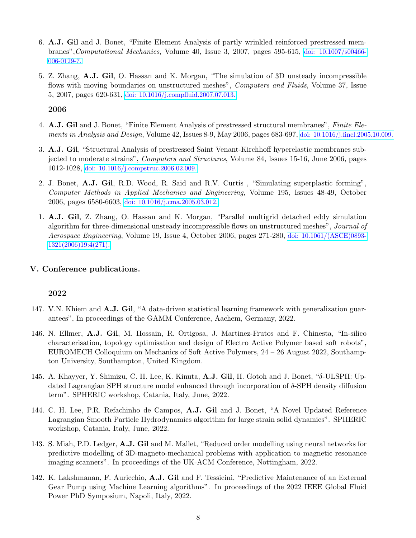- 6. A.J. Gil and J. Bonet, "Finite Element Analysis of partly wrinkled reinforced prestressed membranes",Computational Mechanics, Volume 40, Issue 3, 2007, pages 595-615, [doi: 10.1007/s00466-](http://link.springer.com/article/10.1007%2Fs00466-006-0129-7) [006-0129-7.](http://link.springer.com/article/10.1007%2Fs00466-006-0129-7)
- 5. Z. Zhang, A.J. Gil, O. Hassan and K. Morgan, "The simulation of 3D unsteady incompressible flows with moving boundaries on unstructured meshes", *Computers and Fluids*, Volume 37, Issue 5, 2007, pages 620-631, [doi: 10.1016/j.compfluid.2007.07.013.](http://www.sciencedirect.com/science/article/pii/S0045793007001211)

- 4. A.J. Gil and J. Bonet, "Finite Element Analysis of prestressed structural membranes", Finite Elements in Analysis and Design, Volume 42, Issues 8-9, May 2006, pages 683-697, [doi: 10.1016/j.finel.2005.10.009.](http://www.sciencedirect.com/science/article/pii/S0168874X05001459)
- 3. A.J. Gil, "Structural Analysis of prestressed Saint Venant-Kirchhoff hyperelastic membranes subjected to moderate strains", Computers and Structures, Volume 84, Issues 15-16, June 2006, pages 1012-1028, [doi: 10.1016/j.compstruc.2006.02.009.](http://www.sciencedirect.com/science/article/pii/S0045794906000277)
- 2. J. Bonet, A.J. Gil, R.D. Wood, R. Said and R.V. Curtis , "Simulating superplastic forming", Computer Methods in Applied Mechanics and Engineering, Volume 195, Issues 48-49, October 2006, pages 6580-6603, [doi: 10.1016/j.cma.2005.03.012.](http://www.sciencedirect.com/science/article/pii/S0045782505004767)
- 1. A.J. Gil, Z. Zhang, O. Hassan and K. Morgan, "Parallel multigrid detached eddy simulation algorithm for three-dimensional unsteady incompressible flows on unstructured meshes", Journal of Aerospace Engineering, Volume 19, Issue 4, October 2006, pages 271-280, [doi: 10.1061/\(ASCE\)0893-](http://ascelibrary.org/doi/abs/10.1061/(ASCE)0893-1321(2006)19%3A4(271)) [1321\(2006\)19:4\(271\).](http://ascelibrary.org/doi/abs/10.1061/(ASCE)0893-1321(2006)19%3A4(271))

# V. Conference publications.

- 147. V.N. Khiem and **A.J. Gil**, "A data-driven statistical learning framework with generalization guarantees", In proceedings of the GAMM Conference, Aachem, Germany, 2022.
- 146. N. Ellmer, A.J. Gil, M. Hossain, R. Ortigosa, J. Martinez-Frutos and F. Chinesta, "In-silico characterisation, topology optimisation and design of Electro Active Polymer based soft robots", EUROMECH Colloquium on Mechanics of Soft Active Polymers, 24 – 26 August 2022, Southampton University, Southampton, United Kingdom.
- 145. A. Khayyer, Y. Shimizu, C. H. Lee, K. Kinuta, A.J. Gil, H. Gotoh and J. Bonet, "δ-ULSPH: Updated Lagrangian SPH structure model enhanced through incorporation of δ-SPH density diffusion term". SPHERIC workshop, Catania, Italy, June, 2022.
- 144. C. H. Lee, P.R. Refachinho de Campos, A.J. Gil and J. Bonet, "A Novel Updated Reference Lagrangian Smooth Particle Hydrodynamics algorithm for large strain solid dynamics". SPHERIC workshop, Catania, Italy, June, 2022.
- 143. S. Miah, P.D. Ledger, A.J. Gil and M. Mallet, "Reduced order modelling using neural networks for predictive modelling of 3D-magneto-mechanical problems with application to magnetic resonance imaging scanners". In proceedings of the UK-ACM Conference, Nottingham, 2022.
- 142. K. Lakshmanan, F. Auricchio, A.J. Gil and F. Tessicini, "Predictive Maintenance of an External Gear Pump using Machine Learning algorithms". In proceedings of the 2022 IEEE Global Fluid Power PhD Symposium, Napoli, Italy, 2022.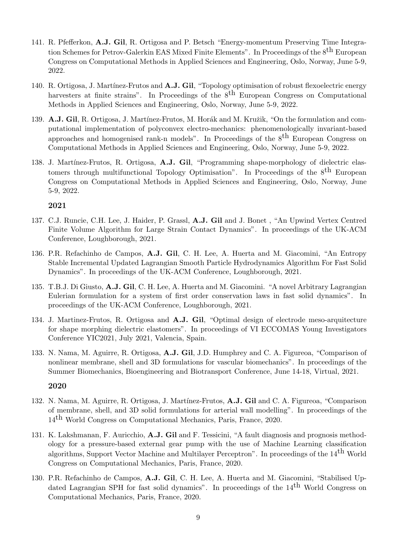- 141. R. Pfefferkon, A.J. Gil, R. Ortigosa and P. Betsch "Energy-momentum Preserving Time Integration Schemes for Petrov-Galerkin EAS Mixed Finite Elements". In Proceedings of the 8<sup>th</sup> European Congress on Computational Methods in Applied Sciences and Engineering, Oslo, Norway, June 5-9, 2022.
- 140. R. Ortigosa, J. Martínez-Frutos and A.J. Gil, "Topology optimisation of robust flexoelectric energy harvesters at finite strains". In Proceedings of the  $8<sup>th</sup>$  European Congress on Computational Methods in Applied Sciences and Engineering, Oslo, Norway, June 5-9, 2022.
- 139. A.J. Gil, R. Ortigosa, J. Martínez-Frutos, M. Horák and M. Kružik, "On the formulation and computational implementation of polyconvex electro-mechanics: phenomenologically invariant-based approaches and homogenised rank-n models". In Proceedings of the 8th European Congress on Computational Methods in Applied Sciences and Engineering, Oslo, Norway, June 5-9, 2022.
- 138. J. Martínez-Frutos, R. Ortigosa, A.J. Gil, "Programming shape-morphology of dielectric elastomers through multifunctional Topology Optimisation". In Proceedings of the  $8<sup>th</sup>$  European Congress on Computational Methods in Applied Sciences and Engineering, Oslo, Norway, June 5-9, 2022.

- 137. C.J. Runcie, C.H. Lee, J. Haider, P. Grassl, A.J. Gil and J. Bonet , "An Upwind Vertex Centred Finite Volume Algorithm for Large Strain Contact Dynamics". In proceedings of the UK-ACM Conference, Loughborough, 2021.
- 136. P.R. Refachinho de Campos, A.J. Gil, C. H. Lee, A. Huerta and M. Giacomini, "An Entropy Stable Incremental Updated Lagrangian Smooth Particle Hydrodynamics Algorithm For Fast Solid Dynamics". In proceedings of the UK-ACM Conference, Loughborough, 2021.
- 135. T.B.J. Di Giusto, A.J. Gil, C. H. Lee, A. Huerta and M. Giacomini. "A novel Arbitrary Lagrangian Eulerian formulation for a system of first order conservation laws in fast solid dynamics". In proceedings of the UK-ACM Conference, Loughborough, 2021.
- 134. J. Martinez-Frutos, R. Ortigosa and A.J. Gil, "Optimal design of electrode meso-arquitecture for shape morphing dielectric elastomers". In proceedings of VI ECCOMAS Young Investigators Conference YIC2021, July 2021, Valencia, Spain.
- 133. N. Nama, M. Aguirre, R. Ortigosa, A.J. Gil, J.D. Humphrey and C. A. Figureoa, "Comparison of nonlinear membrane, shell and 3D formulations for vascular biomechanics". In proceedings of the Summer Biomechanics, Bioengineering and Biotransport Conference, June 14-18, Virtual, 2021.

- 132. N. Nama, M. Aguirre, R. Ortigosa, J. Martínez-Frutos, A.J. Gil and C. A. Figureoa, "Comparison of membrane, shell, and 3D solid formulations for arterial wall modelling". In proceedings of the 14th World Congress on Computational Mechanics, Paris, France, 2020.
- 131. K. Lakshmanan, F. Auricchio, A.J. Gil and F. Tessicini, "A fault diagnosis and prognosis methodology for a pressure-based external gear pump with the use of Machine Learning classification algorithms, Support Vector Machine and Multilayer Perceptron". In proceedings of the 14<sup>th</sup> World Congress on Computational Mechanics, Paris, France, 2020.
- 130. P.R. Refachinho de Campos, A.J. Gil, C. H. Lee, A. Huerta and M. Giacomini, "Stabilised Updated Lagrangian SPH for fast solid dynamics". In proceedings of the  $14<sup>th</sup>$  World Congress on Computational Mechanics, Paris, France, 2020.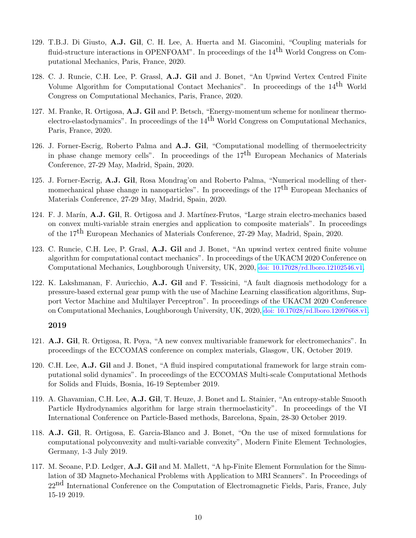- 129. T.B.J. Di Giusto, A.J. Gil, C. H. Lee, A. Huerta and M. Giacomini, "Coupling materials for fluid-structure interactions in OPENFOAM". In proceedings of the  $14<sup>th</sup>$  World Congress on Computational Mechanics, Paris, France, 2020.
- 128. C. J. Runcie, C.H. Lee, P. Grassl, A.J. Gil and J. Bonet, "An Upwind Vertex Centred Finite Volume Algorithm for Computational Contact Mechanics". In proceedings of the 14th World Congress on Computational Mechanics, Paris, France, 2020.
- 127. M. Franke, R. Ortigosa, A.J. Gil and P. Betsch, "Energy-momentum scheme for nonlinear thermoelectro-elastodynamics". In proceedings of the  $14<sup>th</sup>$  World Congress on Computational Mechanics, Paris, France, 2020.
- 126. J. Forner-Escrig, Roberto Palma and A.J. Gil, "Computational modelling of thermoelectricity in phase change memory cells". In proceedings of the  $17<sup>th</sup>$  European Mechanics of Materials Conference, 27-29 May, Madrid, Spain, 2020.
- 125. J. Forner-Escrig, A.J. Gil, Rosa Mondrag'on and Roberto Palma, "Numerical modelling of thermomechanical phase change in nanoparticles". In proceedings of the  $17<sup>th</sup>$  European Mechanics of Materials Conference, 27-29 May, Madrid, Spain, 2020.
- 124. F. J. Marín, A.J. Gil, R. Ortigosa and J. Martínez-Frutos, "Large strain electro-mechanics based on convex multi-variable strain energies and application to composite materials". In proceedings of the 17th European Mechanics of Materials Conference, 27-29 May, Madrid, Spain, 2020.
- 123. C. Runcie, C.H. Lee, P. Grasl, A.J. Gil and J. Bonet, "An upwind vertex centred finite volume algorithm for computational contact mechanics". In proceedings of the UKACM 2020 Conference on Computational Mechanics, Loughborough University, UK, 2020, [doi: 10.17028/rd.lboro.12102546.v1](https://doi.org/10.17028/rd.lboro.12102546.v1).
- 122. K. Lakshmanan, F. Auricchio, A.J. Gil and F. Tessicini, "A fault diagnosis methodology for a pressure-based external gear pump with the use of Machine Learning classification algorithms, Support Vector Machine and Multilayer Perceptron". In proceedings of the UKACM 2020 Conference on Computational Mechanics, Loughborough University, UK, 2020, [doi: 10.17028/rd.lboro.12097668.v1](https://doi.org/10.17028/rd.lboro.12097668.v1).

- 121. A.J. Gil, R. Ortigosa, R. Poya, "A new convex multivariable framework for electromechanics". In proceedings of the ECCOMAS conference on complex materials, Glasgow, UK, October 2019.
- 120. C.H. Lee, A.J. Gil and J. Bonet, "A fluid inspired computational framework for large strain computational solid dynamics". In proceedings of the ECCOMAS Multi-scale Computational Methods for Solids and Fluids, Bosnia, 16-19 September 2019.
- 119. A. Ghavamian, C.H. Lee, A.J. Gil, T. Heuze, J. Bonet and L. Stainier, "An entropy-stable Smooth Particle Hydrodynamics algorithm for large strain thermoelasticity". In proceedings of the VI International Conference on Particle-Based methods, Barcelona, Spain, 28-30 October 2019.
- 118. A.J. Gil, R. Ortigosa, E. Garcia-Blanco and J. Bonet, "On the use of mixed formulations for computational polyconvexity and multi-variable convexity", Modern Finite Element Technologies, Germany, 1-3 July 2019.
- 117. M. Seoane, P.D. Ledger, A.J. Gil and M. Mallett, "A hp-Finite Element Formulation for the Simulation of 3D Magneto-Mechanical Problems with Application to MRI Scanners". In Proceedings of 22<sup>nd</sup> International Conference on the Computation of Electromagnetic Fields, Paris, France, July 15-19 2019.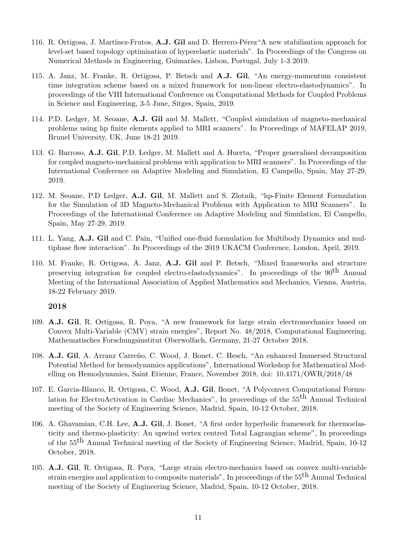- 116. R. Ortigosa, J. Martínez-Frutos, A.J. Gil and D. Herrero-Pérez"A new stabilisation approach for level-set based topology optimisation of hyperelastic materials". In Proceedings of the Congress on Numerical Methods in Engineering, Guimar˜aes, Lisbon, Portugal, July 1-3 2019.
- 115. A. Janz, M. Franke, R. Ortigosa, P. Betsch and A.J. Gil, "An energy-momentum consistent time integration scheme based on a mixed framework for non-linear electro-elastodynamics". In proceedings of the VIII International Conference on Computational Methods for Coupled Problems in Science and Engineering, 3-5 June, Sitges, Spain, 2019.
- 114. P.D. Ledger, M. Seoane, A.J. Gil and M. Mallett, "Coupled simulation of magneto-mechanical problems using hp finite elements applied to MRI scanners". In Proceedings of MAFELAP 2019, Brunel University, UK, June 18-21 2019.
- 113. G. Barroso, A.J. Gil, P.D. Ledger, M. Mallett and A. Huerta, "Proper generalised decomposition for coupled magneto-mechanical problems with application to MRI scanners". In Proceedings of the International Conference on Adaptive Modeling and Simulation, El Campello, Spain, May 27-29, 2019.
- 112. M. Seoane, P.D Ledger, A.J. Gil, M. Mallett and S. Zlotnik, "hp-Finite Element Formulation for the Simulation of 3D Magneto-Mechanical Problems with Application to MRI Scanners". In Proceedings of the International Conference on Adaptive Modeling and Simulation, El Campello, Spain, May 27-29, 2019.
- 111. L. Yang, A.J. Gil and C. Pain, "Unified one-fluid formulation for Multibody Dynamics and multiphase flow interaction". In Proceedings of the 2019 UKACM Conference, London, April, 2019.
- 110. M. Franke, R. Ortigosa, A. Janz, A.J. Gil and P. Betsch, "Mixed frameworks and structure preserving integration for coupled electro-elastodynamics". In proceedings of the 90<sup>th</sup> Annual Meeting of the International Association of Applied Mathematics and Mechanics, Vienna, Austria, 18-22 February 2019.

- 109. A.J. Gil, R. Ortigosa, R. Poya, "A new framework for large strain electromechanics based on Convex Multi-Variable (CMV) strain energies", Report No. 48/2018, Computational Engineering, Mathematisches Forschungsinstitut Oberwolfach, Germany, 21-27 October 2018.
- 108. A.J. Gil, A. Arranz Carreño, C. Wood, J. Bonet, C. Hesch, "An enhanced Immersed Structural Potential Method for hemodynamics applications", International Workshop for Mathematical Modelling on Hemodynamics, Saint Etienne, France, November 2018, doi: 10.4171/OWR/2018/48
- 107. E. Garcia-Blanco, R. Ortigosa, C. Wood, A.J. Gil, Bonet, "A Polyconvex Computational Formulation for ElectroActivation in Cardiac Mechanics", In proceedings of the  $55<sup>th</sup>$  Annual Technical meeting of the Society of Engineering Science, Madrid, Spain, 10-12 October, 2018.
- 106. A. Ghavamian, C.H. Lee, A.J. Gil, J. Bonet, "A first order hyperbolic framework for thermoelasticity and thermo-plasticity: An upwind vertex centred Total Lagrangian scheme", In proceedings of the 55<sup>th</sup> Annual Technical meeting of the Society of Engineering Science, Madrid, Spain, 10-12 October, 2018.
- 105. A.J. Gil, R. Ortigosa, R. Poya, "Large strain electro-mechanics based on convex multi-variable strain energies and application to composite materials", In proceedings of the 55<sup>th</sup> Annual Technical meeting of the Society of Engineering Science, Madrid, Spain, 10-12 October, 2018.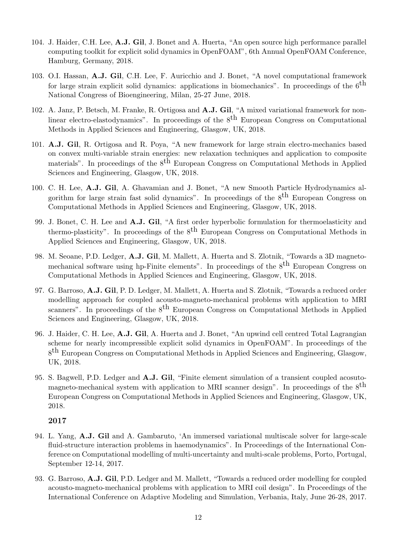- 104. J. Haider, C.H. Lee, A.J. Gil, J. Bonet and A. Huerta, "An open source high performance parallel computing toolkit for explicit solid dynamics in OpenFOAM", 6th Annual OpenFOAM Conference, Hamburg, Germany, 2018.
- 103. O.I. Hassan, A.J. Gil, C.H. Lee, F. Auricchio and J. Bonet, "A novel computational framework for large strain explicit solid dynamics: applications in biomechanics". In proceedings of the  $6<sup>th</sup>$ National Congress of Bioengineering, Milan, 25-27 June, 2018.
- 102. A. Janz, P. Betsch, M. Franke, R. Ortigosa and A.J. Gil, "A mixed variational framework for nonlinear electro-elastodynamics". In proceedings of the  $8<sup>th</sup>$  European Congress on Computational Methods in Applied Sciences and Engineering, Glasgow, UK, 2018.
- 101. A.J. Gil, R. Ortigosa and R. Poya, "A new framework for large strain electro-mechanics based on convex multi-variable strain energies: new relaxation techniques and application to composite materials". In proceedings of the  $8<sup>th</sup>$  European Congress on Computational Methods in Applied Sciences and Engineering, Glasgow, UK, 2018.
- 100. C. H. Lee, A.J. Gil, A. Ghavamian and J. Bonet, "A new Smooth Particle Hydrodynamics algorithm for large strain fast solid dynamics". In proceedings of the  $8<sup>th</sup>$  European Congress on Computational Methods in Applied Sciences and Engineering, Glasgow, UK, 2018.
- 99. J. Bonet, C. H. Lee and A.J. Gil, "A first order hyperbolic formulation for thermoelasticity and thermo-plasticity". In proceedings of the  $8<sup>th</sup>$  European Congress on Computational Methods in Applied Sciences and Engineering, Glasgow, UK, 2018.
- 98. M. Seoane, P.D. Ledger, A.J. Gil, M. Mallett, A. Huerta and S. Zlotnik, "Towards a 3D magnetomechanical software using hp-Finite elements". In proceedings of the  $8<sup>th</sup>$  European Congress on Computational Methods in Applied Sciences and Engineering, Glasgow, UK, 2018.
- 97. G. Barroso, A.J. Gil, P. D. Ledger, M. Mallett, A. Huerta and S. Zlotnik, "Towards a reduced order modelling approach for coupled acousto-magneto-mechanical problems with application to MRI scanners". In proceedings of the 8<sup>th</sup> European Congress on Computational Methods in Applied Sciences and Engineering, Glasgow, UK, 2018.
- 96. J. Haider, C. H. Lee, A.J. Gil, A. Huerta and J. Bonet, "An upwind cell centred Total Lagrangian scheme for nearly incompressible explicit solid dynamics in OpenFOAM". In proceedings of the 8<sup>th</sup> European Congress on Computational Methods in Applied Sciences and Engineering, Glasgow, UK, 2018.
- 95. S. Bagwell, P.D. Ledger and A.J. Gil, "Finite element simulation of a transient coupled acosutomagneto-mechanical system with application to MRI scanner design". In proceedings of the  $8<sup>th</sup>$ European Congress on Computational Methods in Applied Sciences and Engineering, Glasgow, UK, 2018.

- 94. L. Yang, A.J. Gil and A. Gambaruto, 'An immersed variational multiscale solver for large-scale fluid-structure interaction problems in haemodynamics". In Proceedings of the International Conference on Computational modelling of multi-uncertainty and multi-scale problems, Porto, Portugal, September 12-14, 2017.
- 93. G. Barroso, A.J. Gil, P.D. Ledger and M. Mallett, "Towards a reduced order modelling for coupled acousto-magneto-mechanical problems with application to MRI coil design". In Proceedings of the International Conference on Adaptive Modeling and Simulation, Verbania, Italy, June 26-28, 2017.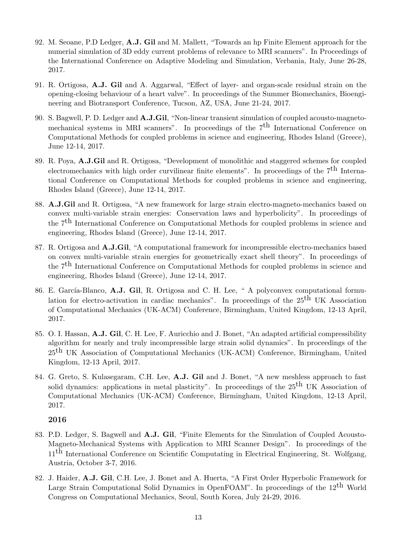- 92. M. Seoane, P.D Ledger, A.J. Gil and M. Mallett, "Towards an hp Finite Element approach for the numerial simulation of 3D eddy current problems of relevance to MRI scanners". In Proceedings of the International Conference on Adaptive Modeling and Simulation, Verbania, Italy, June 26-28, 2017.
- 91. R. Ortigosa, A.J. Gil and A. Aggarwal, "Effect of layer- and organ-scale residual strain on the opening-closing behaviour of a heart valve". In proceedings of the Summer Biomechanics, Bioengineering and Biotransport Conference, Tucson, AZ, USA, June 21-24, 2017.
- 90. S. Bagwell, P. D. Ledger and A.J.Gil, "Non-linear transient simulation of coupled acousto-magnetomechanical systems in MRI scanners". In proceedings of the  $7<sup>th</sup>$  International Conference on Computational Methods for coupled problems in science and engineering, Rhodes Island (Greece), June 12-14, 2017.
- 89. R. Poya, A.J.Gil and R. Ortigosa, "Development of monolithic and staggered schemes for coupled electromechanics with high order curvilinear finite elements". In proceedings of the  $7<sup>th</sup>$  International Conference on Computational Methods for coupled problems in science and engineering, Rhodes Island (Greece), June 12-14, 2017.
- 88. A.J.Gil and R. Ortigosa, "A new framework for large strain electro-magneto-mechanics based on convex multi-variable strain energies: Conservation laws and hyperbolicity". In proceedings of the 7<sup>th</sup> International Conference on Computational Methods for coupled problems in science and engineering, Rhodes Island (Greece), June 12-14, 2017.
- 87. R. Ortigosa and A.J.Gil, "A computational framework for incompressible electro-mechanics based on convex multi-variable strain energies for geometrically exact shell theory". In proceedings of the 7th International Conference on Computational Methods for coupled problems in science and engineering, Rhodes Island (Greece), June 12-14, 2017.
- 86. E. García-Blanco, A.J. Gil, R. Ortigosa and C. H. Lee, " A polyconvex computational formulation for electro-activation in cardiac mechanics". In proceedings of the  $25<sup>th</sup>$  UK Association of Computational Mechanics (UK-ACM) Conference, Birmingham, United Kingdom, 12-13 April, 2017.
- 85. O. I. Hassan, A.J. Gil, C. H. Lee, F. Auricchio and J. Bonet, "An adapted artificial compressibility algorithm for nearly and truly incompressible large strain solid dynamics". In proceedings of the  $25<sup>th</sup>$  UK Association of Computational Mechanics (UK-ACM) Conference, Birmingham, United Kingdom, 12-13 April, 2017.
- 84. G. Greto, S. Kulasegaram, C.H. Lee, A.J. Gil and J. Bonet, "A new meshless approach to fast solid dynamics: applications in metal plasticity". In proceedings of the  $25<sup>th</sup>$  UK Association of Computational Mechanics (UK-ACM) Conference, Birmingham, United Kingdom, 12-13 April, 2017.

- 83. P.D. Ledger, S. Bagwell and A.J. Gil, "Finite Elements for the Simulation of Coupled Acousto-Magneto-Mechanical Systems with Application to MRI Scanner Design". In proceedings of the 11<sup>th</sup> International Conference on Scientific Computating in Electrical Engineering, St. Wolfgang, Austria, October 3-7, 2016.
- 82. J. Haider, A.J. Gil, C.H. Lee, J. Bonet and A. Huerta, "A First Order Hyperbolic Framework for Large Strain Computational Solid Dynamics in OpenFOAM". In proceedings of the  $12<sup>th</sup>$  World Congress on Computational Mechanics, Seoul, South Korea, July 24-29, 2016.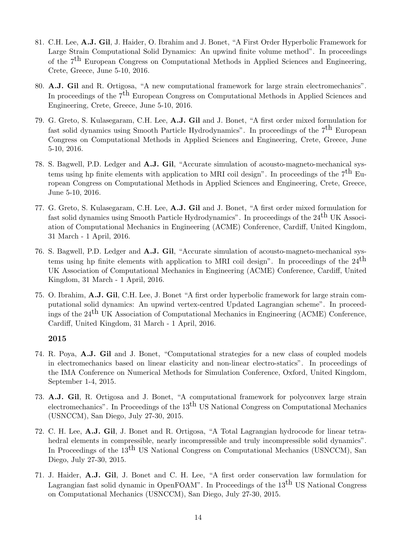- 81. C.H. Lee, A.J. Gil, J. Haider, O. Ibrahim and J. Bonet, "A First Order Hyperbolic Framework for Large Strain Computational Solid Dynamics: An upwind finite volume method". In proceedings of the 7th European Congress on Computational Methods in Applied Sciences and Engineering, Crete, Greece, June 5-10, 2016.
- 80. A.J. Gil and R. Ortigosa, "A new computational framework for large strain electromechanics". In proceedings of the 7<sup>th</sup> European Congress on Computational Methods in Applied Sciences and Engineering, Crete, Greece, June 5-10, 2016.
- 79. G. Greto, S. Kulasegaram, C.H. Lee, A.J. Gil and J. Bonet, "A first order mixed formulation for fast solid dynamics using Smooth Particle Hydrodynamics". In proceedings of the  $7<sup>th</sup>$  European Congress on Computational Methods in Applied Sciences and Engineering, Crete, Greece, June 5-10, 2016.
- 78. S. Bagwell, P.D. Ledger and A.J. Gil, "Accurate simulation of acousto-magneto-mechanical systems using hp finite elements with application to MRI coil design". In proceedings of the  $7<sup>th</sup>$  European Congress on Computational Methods in Applied Sciences and Engineering, Crete, Greece, June 5-10, 2016.
- 77. G. Greto, S. Kulasegaram, C.H. Lee, A.J. Gil and J. Bonet, "A first order mixed formulation for fast solid dynamics using Smooth Particle Hydrodynamics". In proceedings of the  $24<sup>th</sup>$  UK Association of Computational Mechanics in Engineering (ACME) Conference, Cardiff, United Kingdom, 31 March - 1 April, 2016.
- 76. S. Bagwell, P.D. Ledger and A.J. Gil, "Accurate simulation of acousto-magneto-mechanical systems using hp finite elements with application to MRI coil design". In proceedings of the  $24<sup>th</sup>$ UK Association of Computational Mechanics in Engineering (ACME) Conference, Cardiff, United Kingdom, 31 March - 1 April, 2016.
- 75. O. Ibrahim, A.J. Gil, C.H. Lee, J. Bonet "A first order hyperbolic framework for large strain computational solid dynamics: An upwind vertex-centred Updated Lagrangian scheme". In proceedings of the 24th UK Association of Computational Mechanics in Engineering (ACME) Conference, Cardiff, United Kingdom, 31 March - 1 April, 2016.

- 74. R. Poya, A.J. Gil and J. Bonet, "Computational strategies for a new class of coupled models in electromechanics based on linear elasticity and non-linear electro-statics". In proceedings of the IMA Conference on Numerical Methods for Simulation Conference, Oxford, United Kingdom, September 1-4, 2015.
- 73. A.J. Gil, R. Ortigosa and J. Bonet, "A computational framework for polyconvex large strain electromechanics". In Proceedings of the  $13<sup>th</sup>$  US National Congress on Computational Mechanics (USNCCM), San Diego, July 27-30, 2015.
- 72. C. H. Lee, A.J. Gil, J. Bonet and R. Ortigosa, "A Total Lagrangian hydrocode for linear tetrahedral elements in compressible, nearly incompressible and truly incompressible solid dynamics". In Proceedings of the 13<sup>th</sup> US National Congress on Computational Mechanics (USNCCM), San Diego, July 27-30, 2015.
- 71. J. Haider, A.J. Gil, J. Bonet and C. H. Lee, "A first order conservation law formulation for Lagrangian fast solid dynamic in OpenFOAM". In Proceedings of the  $13<sup>th</sup>$  US National Congress on Computational Mechanics (USNCCM), San Diego, July 27-30, 2015.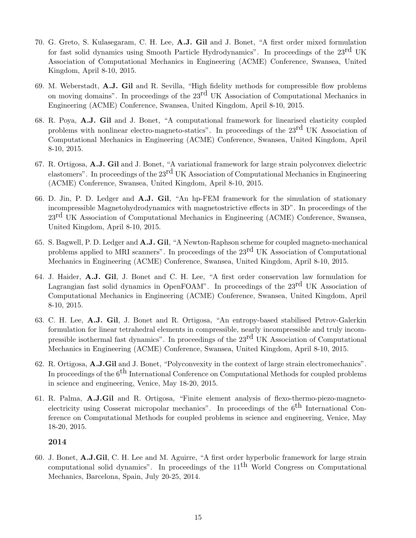- 70. G. Greto, S. Kulasegaram, C. H. Lee, A.J. Gil and J. Bonet, "A first order mixed formulation for fast solid dynamics using Smooth Particle Hydrodynamics". In proceedings of the 23<sup>rd</sup> UK Association of Computational Mechanics in Engineering (ACME) Conference, Swansea, United Kingdom, April 8-10, 2015.
- 69. M. Weberstadt, A.J. Gil and R. Sevilla, "High fidelity methods for compressible flow problems on moving domains". In proceedings of the 23rd UK Association of Computational Mechanics in Engineering (ACME) Conference, Swansea, United Kingdom, April 8-10, 2015.
- 68. R. Poya, A.J. Gil and J. Bonet, "A computational framework for linearised elasticity coupled problems with nonlinear electro-magneto-statics". In proceedings of the  $23^{\text{rd}}$  UK Association of Computational Mechanics in Engineering (ACME) Conference, Swansea, United Kingdom, April 8-10, 2015.
- 67. R. Ortigosa, A.J. Gil and J. Bonet, "A variational framework for large strain polyconvex dielectric elastomers". In proceedings of the  $23^{\text{rd}}$  UK Association of Computational Mechanics in Engineering (ACME) Conference, Swansea, United Kingdom, April 8-10, 2015.
- 66. D. Jin, P. D. Ledger and A.J. Gil, "An hp-FEM framework for the simulation of stationary incompressible Magnetohydrodynamics with magnetostrictive effects in 3D". In proceedings of the 23<sup>rd</sup> UK Association of Computational Mechanics in Engineering (ACME) Conference, Swansea, United Kingdom, April 8-10, 2015.
- 65. S. Bagwell, P. D. Ledger and A.J. Gil, "A Newton-Raphson scheme for coupled magneto-mechanical problems applied to MRI scanners". In proceedings of the 23rd UK Association of Computational Mechanics in Engineering (ACME) Conference, Swansea, United Kingdom, April 8-10, 2015.
- 64. J. Haider, A.J. Gil, J. Bonet and C. H. Lee, "A first order conservation law formulation for Lagrangian fast solid dynamics in OpenFOAM". In proceedings of the  $23<sup>rd</sup>$  UK Association of Computational Mechanics in Engineering (ACME) Conference, Swansea, United Kingdom, April 8-10, 2015.
- 63. C. H. Lee, A.J. Gil, J. Bonet and R. Ortigosa, "An entropy-based stabilised Petrov-Galerkin formulation for linear tetrahedral elements in compressible, nearly incompressible and truly incompressible isothermal fast dynamics". In proceedings of the 23<sup>rd</sup> UK Association of Computational Mechanics in Engineering (ACME) Conference, Swansea, United Kingdom, April 8-10, 2015.
- 62. R. Ortigosa, A.J.Gil and J. Bonet, "Polyconvexity in the context of large strain electromechanics". In proceedings of the  $6<sup>th</sup>$  International Conference on Computational Methods for coupled problems in science and engineering, Venice, May 18-20, 2015.
- 61. R. Palma, A.J.Gil and R. Ortigosa, "Finite element analysis of flexo-thermo-piezo-magnetoelectricity using Cosserat micropolar mechanics". In proceedings of the  $6<sup>th</sup>$  International Conference on Computational Methods for coupled problems in science and engineering, Venice, May 18-20, 2015.

60. J. Bonet, A.J.Gil, C. H. Lee and M. Aguirre, "A first order hyperbolic framework for large strain computational solid dynamics". In proceedings of the  $11<sup>th</sup>$  World Congress on Computational Mechanics, Barcelona, Spain, July 20-25, 2014.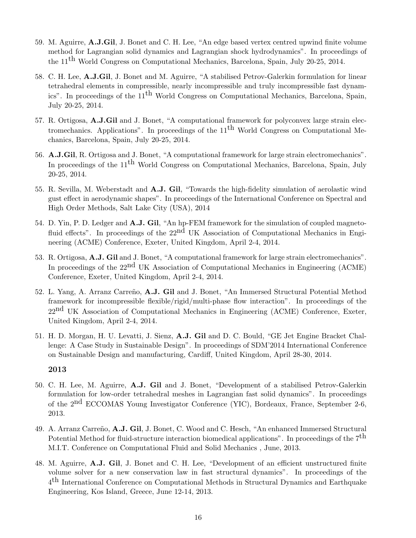- 59. M. Aguirre, A.J.Gil, J. Bonet and C. H. Lee, "An edge based vertex centred upwind finite volume method for Lagrangian solid dynamics and Lagrangian shock hydrodynamics". In proceedings of the 11th World Congress on Computational Mechanics, Barcelona, Spain, July 20-25, 2014.
- 58. C. H. Lee, A.J.Gil, J. Bonet and M. Aguirre, "A stabilised Petrov-Galerkin formulation for linear tetrahedral elements in compressible, nearly incompressible and truly incompressible fast dynamics". In proceedings of the 11th World Congress on Computational Mechanics, Barcelona, Spain, July 20-25, 2014.
- 57. R. Ortigosa, A.J.Gil and J. Bonet, "A computational framework for polyconvex large strain electromechanics. Applications". In proceedings of the  $11<sup>th</sup>$  World Congress on Computational Mechanics, Barcelona, Spain, July 20-25, 2014.
- 56. A.J.Gil, R. Ortigosa and J. Bonet, "A computational framework for large strain electromechanics". In proceedings of the  $11<sup>th</sup>$  World Congress on Computational Mechanics, Barcelona, Spain, July 20-25, 2014.
- 55. R. Sevilla, M. Weberstadt and A.J. Gil, "Towards the high-fidelity simulation of aerolastic wind gust effect in aerodynamic shapes". In proceedings of the International Conference on Spectral and High Order Methods, Salt Lake City (USA), 2014
- 54. D. Yin, P. D. Ledger and A.J. Gil, "An hp-FEM framework for the simulation of coupled magnetofluid effects". In proceedings of the  $22<sup>nd</sup>$  UK Association of Computational Mechanics in Engineering (ACME) Conference, Exeter, United Kingdom, April 2-4, 2014.
- 53. R. Ortigosa, A.J. Gil and J. Bonet, "A computational framework for large strain electromechanics". In proceedings of the  $22^{nd}$  UK Association of Computational Mechanics in Engineering (ACME) Conference, Exeter, United Kingdom, April 2-4, 2014.
- 52. L. Yang, A. Arranz Carreño, A.J. Gil and J. Bonet, "An Immersed Structural Potential Method framework for incompressible flexible/rigid/multi-phase flow interaction". In proceedings of the  $22<sup>nd</sup> UK Association of Computational Mechanics in Engineering (ACME) Conference, Exeter,$ United Kingdom, April 2-4, 2014.
- 51. H. D. Morgan, H. U. Levatti, J. Sienz, A.J. Gil and D. C. Bould, "GE Jet Engine Bracket Challenge: A Case Study in Sustainable Design". In proceedings of SDM'2014 International Conference on Sustainable Design and manufacturing, Cardiff, United Kingdom, April 28-30, 2014.

- 50. C. H. Lee, M. Aguirre, A.J. Gil and J. Bonet, "Development of a stabilised Petrov-Galerkin formulation for low-order tetrahedral meshes in Lagrangian fast solid dynamics". In proceedings of the  $2<sup>nd</sup>$  ECCOMAS Young Investigator Conference (YIC), Bordeaux, France, September 2-6, 2013.
- 49. A. Arranz Carreño, A.J. Gil, J. Bonet, C. Wood and C. Hesch, "An enhanced Immersed Structural Potential Method for fluid-structure interaction biomedical applications". In proceedings of the  $7<sup>th</sup>$ M.I.T. Conference on Computational Fluid and Solid Mechanics , June, 2013.
- 48. M. Aguirre, A.J. Gil, J. Bonet and C. H. Lee, "Development of an efficient unstructured finite volume solver for a new conservation law in fast structural dynamics". In proceedings of the  $4<sup>th</sup>$  International Conference on Computational Methods in Structural Dynamics and Earthquake Engineering, Kos Island, Greece, June 12-14, 2013.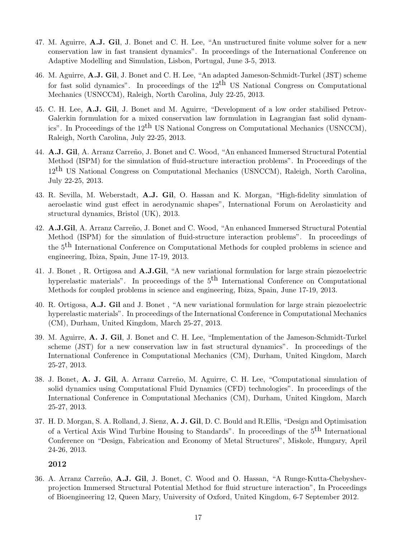- 47. M. Aguirre, A.J. Gil, J. Bonet and C. H. Lee, "An unstructured finite volume solver for a new conservation law in fast transient dynamics". In proceedings of the International Conference on Adaptive Modelling and Simulation, Lisbon, Portugal, June 3-5, 2013.
- 46. M. Aguirre, A.J. Gil, J. Bonet and C. H. Lee, "An adapted Jameson-Schmidt-Turkel (JST) scheme for fast solid dynamics". In proceedings of the  $12<sup>th</sup>$  US National Congress on Computational Mechanics (USNCCM), Raleigh, North Carolina, July 22-25, 2013.
- 45. C. H. Lee, A.J. Gil, J. Bonet and M. Aguirre, "Development of a low order stabilised Petrov-Galerkin formulation for a mixed conservation law formulation in Lagrangian fast solid dynamics". In Proceedings of the  $12<sup>th</sup>$  US National Congress on Computational Mechanics (USNCCM), Raleigh, North Carolina, July 22-25, 2013.
- 44. A.J. Gil, A. Arranz Carreño, J. Bonet and C. Wood, "An enhanced Immersed Structural Potential Method (ISPM) for the simulation of fluid-structure interaction problems". In Proceedings of the 12<sup>th</sup> US National Congress on Computational Mechanics (USNCCM), Raleigh, North Carolina, July 22-25, 2013.
- 43. R. Sevilla, M. Weberstadt, A.J. Gil, O. Hassan and K. Morgan, "High-fidelity simulation of aeroelastic wind gust effect in aerodynamic shapes", International Forum on Aerolasticity and structural dynamics, Bristol (UK), 2013.
- 42. A.J.Gil, A. Arranz Carreño, J. Bonet and C. Wood, "An enhanced Immersed Structural Potential Method (ISPM) for the simulation of fluid-structure interaction problems". In proceedings of the 5th International Conference on Computational Methods for coupled problems in science and engineering, Ibiza, Spain, June 17-19, 2013.
- 41. J. Bonet , R. Ortigosa and A.J.Gil, "A new variational formulation for large strain piezoelectric hyperelastic materials". In proceedings of the  $5<sup>th</sup>$  International Conference on Computational Methods for coupled problems in science and engineering, Ibiza, Spain, June 17-19, 2013.
- 40. R. Ortigosa, A.J. Gil and J. Bonet , "A new variational formulation for large strain piezoelectric hyperelastic materials". In proceedings of the International Conference in Computational Mechanics (CM), Durham, United Kingdom, March 25-27, 2013.
- 39. M. Aguirre, A. J. Gil, J. Bonet and C. H. Lee, "Implementation of the Jameson-Schmidt-Turkel scheme (JST) for a new conservation law in fast structural dynamics". In proceedings of the International Conference in Computational Mechanics (CM), Durham, United Kingdom, March 25-27, 2013.
- 38. J. Bonet, A. J. Gil, A. Arranz Carreño, M. Aguirre, C. H. Lee, "Computational simulation of solid dynamics using Computational Fluid Dynamics (CFD) technologies". In proceedings of the International Conference in Computational Mechanics (CM), Durham, United Kingdom, March 25-27, 2013.
- 37. H. D. Morgan, S. A. Rolland, J. Sienz, A. J. Gil, D. C. Bould and R.Ellis, "Design and Optimisation of a Vertical Axis Wind Turbine Housing to Standards". In proceedings of the 5th International Conference on "Design, Fabrication and Economy of Metal Structures", Miskolc, Hungary, April 24-26, 2013.

36. A. Arranz Carreño, A.J. Gil, J. Bonet, C. Wood and O. Hassan, "A Runge-Kutta-Chebyshevprojection Immersed Structural Potential Method for fluid structure interaction", In Proceedings of Bioengineering 12, Queen Mary, University of Oxford, United Kingdom, 6-7 September 2012.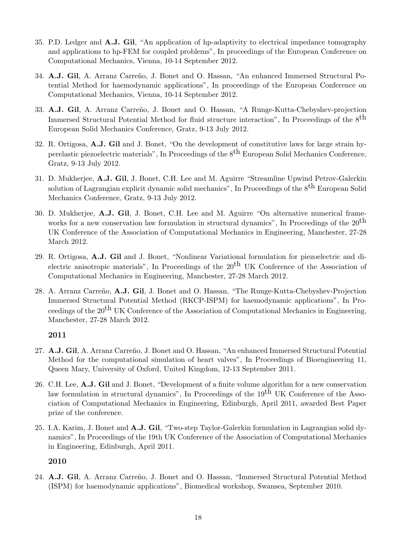- 35. P.D. Ledger and A.J. Gil, "An application of hp-adaptivity to electrical impedance tomography and applications to hp-FEM for coupled problems", In proceedings of the European Conference on Computational Mechanics, Vienna, 10-14 September 2012.
- 34. A.J. Gil, A. Arranz Carreño, J. Bonet and O. Hassan, "An enhanced Immersed Structural Potential Method for haemodynamic applications", In proceedings of the European Conference on Computational Mechanics, Vienna, 10-14 September 2012.
- 33. A.J. Gil, A. Arranz Carreño, J. Bonet and O. Hassan, "A Runge-Kutta-Chebyshev-projection Immersed Structural Potential Method for fluid structure interaction", In Proceedings of the  $8<sup>th</sup>$ European Solid Mechanics Conference, Gratz, 9-13 July 2012.
- 32. R. Ortigosa, A.J. Gil and J. Bonet, "On the development of constitutive laws for large strain hyperelastic piezoelectric materials". In Proceedings of the  $8<sup>th</sup>$  European Solid Mechanics Conference, Gratz, 9-13 July 2012.
- 31. D. Mukherjee, A.J. Gil, J. Bonet, C.H. Lee and M. Aguirre "Streamline Upwind Petrov-Galerkin solution of Lagrangian explicit dynamic solid mechanics", In Proceedings of the  $8<sup>th</sup>$  European Solid Mechanics Conference, Gratz, 9-13 July 2012.
- 30. D. Mukherjee, A.J. Gil, J. Bonet, C.H. Lee and M. Aguirre "On alternative numerical frameworks for a new conservation law formulation in structural dynamics", In Proceedings of the  $20<sup>th</sup>$ UK Conference of the Association of Computational Mechanics in Engineering, Manchester, 27-28 March 2012.
- 29. R. Ortigosa, A.J. Gil and J. Bonet, "Nonlinear Variational formulation for piezoelectric and dielectric anisotropic materials". In Proceedings of the  $20<sup>th</sup>$  UK Conference of the Association of Computational Mechanics in Engineering, Manchester, 27-28 March 2012.
- 28. A. Arranz Carreño, A.J. Gil, J. Bonet and O. Hassan, "The Runge-Kutta-Chebyshev-Projection Immersed Structural Potential Method (RKCP-ISPM) for haemodynamic applications", In Proceedings of the  $20<sup>th</sup>$  UK Conference of the Association of Computational Mechanics in Engineering, Manchester, 27-28 March 2012.

- 27. A.J. Gil, A. Arranz Carreño, J. Bonet and O. Hassan, "An enhanced Immersed Structural Potential Method for the computational simulation of heart valves", In Proceedings of Bioengineering 11, Queen Mary, University of Oxford, United Kingdom, 12-13 September 2011.
- 26. C.H. Lee, A.J. Gil and J. Bonet, "Development of a finite volume algorithm for a new conservation law formulation in structural dynamics", In Proceedings of the  $19<sup>th</sup>$  UK Conference of the Association of Computational Mechanics in Engineering, Edinburgh, April 2011, awarded Best Paper prize of the conference.
- 25. I.A. Karim, J. Bonet and A.J. Gil, "Two-step Taylor-Galerkin formulation in Lagrangian solid dynamics", In Proceedings of the 19th UK Conference of the Association of Computational Mechanics in Engineering, Edinburgh, April 2011.

2010

24. A.J. Gil, A. Arranz Carreño, J. Bonet and O. Hassan, "Immersed Structural Potential Method (ISPM) for haemodynamic applications", Biomedical workshop, Swansea, September 2010.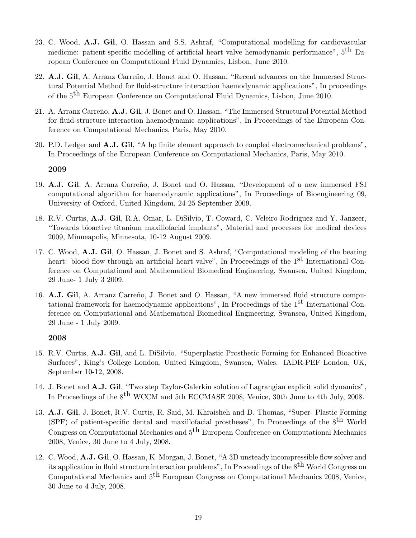- 23. C. Wood, A.J. Gil, O. Hassan and S.S. Ashraf, "Computational modelling for cardiovascular medicine: patient-specific modelling of artificial heart valve hemodynamic performance",  $5<sup>th</sup>$  European Conference on Computational Fluid Dynamics, Lisbon, June 2010.
- 22. A.J. Gil, A. Arranz Carreño, J. Bonet and O. Hassan, "Recent advances on the Immersed Structural Potential Method for fluid-structure interaction haemodynamic applications", In proceedings of the 5<sup>th</sup> European Conference on Computational Fluid Dynamics, Lisbon, June 2010.
- 21. A. Arranz Carreño, A.J. Gil, J. Bonet and O. Hassan, "The Immersed Structural Potential Method for fluid-structure interaction haemodynamic applications", In Proceedings of the European Conference on Computational Mechanics, Paris, May 2010.
- 20. P.D. Ledger and A.J. Gil, "A hp finite element approach to coupled electromechanical problems", In Proceedings of the European Conference on Computational Mechanics, Paris, May 2010.

- 19. A.J. Gil, A. Arranz Carreño, J. Bonet and O. Hassan, "Development of a new immersed FSI computational algorithm for haemodynamic applications", In Proceedings of Bioengineering 09, University of Oxford, United Kingdom, 24-25 September 2009.
- 18. R.V. Curtis, A.J. Gil, R.A. Omar, L. DiSilvio, T. Coward, C. Veleiro-Rodriguez and Y. Janzeer, "Towards bioactive titanium maxillofacial implants", Material and processes for medical devices 2009, Minneapolis, Minnesota, 10-12 August 2009.
- 17. C. Wood, A.J. Gil, O. Hassan, J. Bonet and S. Ashraf, "Computational modeling of the beating heart: blood flow through an artificial heart valve", In Proceedings of the 1<sup>st</sup> International Conference on Computational and Mathematical Biomedical Engineering, Swansea, United Kingdom, 29 June- 1 July 3 2009.
- 16. A.J. Gil, A. Arranz Carreño, J. Bonet and O. Hassan, "A new immersed fluid structure computational framework for haemodynamic applications", In Proceedings of the  $1<sup>st</sup>$  International Conference on Computational and Mathematical Biomedical Engineering, Swansea, United Kingdom, 29 June - 1 July 2009.

- 15. R.V. Curtis, A.J. Gil, and L. DiSilvio. "Superplastic Prosthetic Forming for Enhanced Bioactive Surfaces", King's College London, United Kingdom, Swansea, Wales. IADR-PEF London, UK, September 10-12, 2008.
- 14. J. Bonet and A.J. Gil, "Two step Taylor-Galerkin solution of Lagrangian explicit solid dynamics", In Proceedings of the 8<sup>th</sup> WCCM and 5th ECCMASE 2008, Venice, 30th June to 4th July, 2008.
- 13. A.J. Gil, J. Bonet, R.V. Curtis, R. Said, M. Khraisheh and D. Thomas, "Super- Plastic Forming (SPF) of patient-specific dental and maxillofacial prostheses", In Proceedings of the 8th World Congress on Computational Mechanics and  $5<sup>th</sup>$  European Conference on Computational Mechanics 2008, Venice, 30 June to 4 July, 2008.
- 12. C. Wood, A.J. Gil, O. Hassan, K. Morgan, J. Bonet, "A 3D unsteady incompressible flow solver and its application in fluid structure interaction problems", In Proceedings of the  $8<sup>th</sup>$  World Congress on Computational Mechanics and  $5<sup>th</sup>$  European Congress on Computational Mechanics 2008, Venice, 30 June to 4 July, 2008.